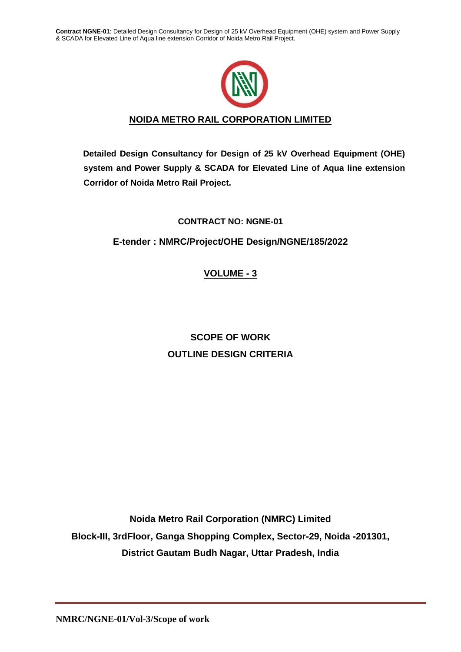

# **NOIDA METRO RAIL CORPORATION LIMITED**

**Detailed Design Consultancy for Design of 25 kV Overhead Equipment (OHE) system and Power Supply & SCADA for Elevated Line of Aqua line extension Corridor of Noida Metro Rail Project.**

# **CONTRACT NO: NGNE-01**

# **E-tender : NMRC/Project/OHE Design/NGNE/185/2022**

**VOLUME - 3**

# **SCOPE OF WORK OUTLINE DESIGN CRITERIA**

**Noida Metro Rail Corporation (NMRC) Limited Block-III, 3rdFloor, Ganga Shopping Complex, Sector-29, Noida -201301, District Gautam Budh Nagar, Uttar Pradesh, India**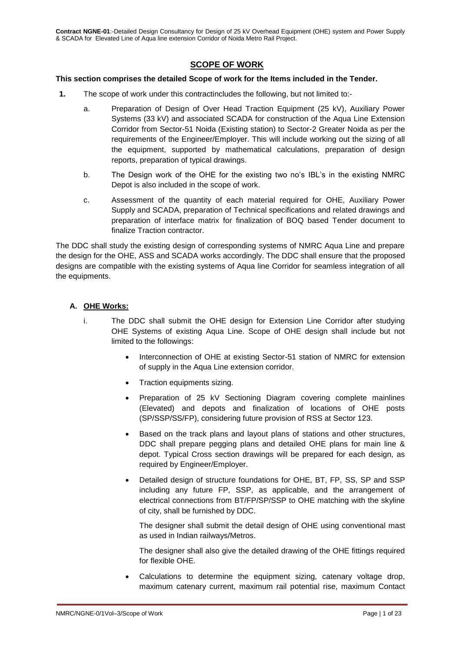# **SCOPE OF WORK**

#### **This section comprises the detailed Scope of work for the Items included in the Tender.**

- **1.** The scope of work under this contractincludes the following, but not limited to:
	- a. Preparation of Design of Over Head Traction Equipment (25 kV), Auxiliary Power Systems (33 kV) and associated SCADA for construction of the Aqua Line Extension Corridor from Sector-51 Noida (Existing station) to Sector-2 Greater Noida as per the requirements of the Engineer/Employer. This will include working out the sizing of all the equipment, supported by mathematical calculations, preparation of design reports, preparation of typical drawings.
	- b. The Design work of the OHE for the existing two no's IBL's in the existing NMRC Depot is also included in the scope of work.
	- c. Assessment of the quantity of each material required for OHE, Auxiliary Power Supply and SCADA, preparation of Technical specifications and related drawings and preparation of interface matrix for finalization of BOQ based Tender document to finalize Traction contractor.

The DDC shall study the existing design of corresponding systems of NMRC Aqua Line and prepare the design for the OHE, ASS and SCADA works accordingly. The DDC shall ensure that the proposed designs are compatible with the existing systems of Aqua line Corridor for seamless integration of all the equipments.

# **A. OHE Works:**

- i. The DDC shall submit the OHE design for Extension Line Corridor after studying OHE Systems of existing Aqua Line. Scope of OHE design shall include but not limited to the followings:
	- Interconnection of OHE at existing Sector-51 station of NMRC for extension of supply in the Aqua Line extension corridor.
	- Traction equipments sizing.
	- Preparation of 25 kV Sectioning Diagram covering complete mainlines (Elevated) and depots and finalization of locations of OHE posts (SP/SSP/SS/FP), considering future provision of RSS at Sector 123.
	- Based on the track plans and layout plans of stations and other structures, DDC shall prepare pegging plans and detailed OHE plans for main line & depot. Typical Cross section drawings will be prepared for each design, as required by Engineer/Employer.
	- Detailed design of structure foundations for OHE, BT, FP, SS, SP and SSP including any future FP, SSP, as applicable, and the arrangement of electrical connections from BT/FP/SP/SSP to OHE matching with the skyline of city, shall be furnished by DDC.

The designer shall submit the detail design of OHE using conventional mast as used in Indian railways/Metros.

The designer shall also give the detailed drawing of the OHE fittings required for flexible OHE.

 Calculations to determine the equipment sizing, catenary voltage drop, maximum catenary current, maximum rail potential rise, maximum Contact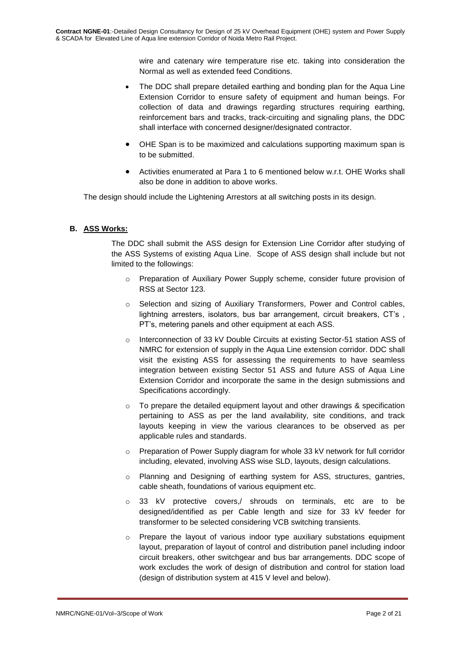wire and catenary wire temperature rise etc. taking into consideration the Normal as well as extended feed Conditions.

- The DDC shall prepare detailed earthing and bonding plan for the Aqua Line Extension Corridor to ensure safety of equipment and human beings. For collection of data and drawings regarding structures requiring earthing, reinforcement bars and tracks, track-circuiting and signaling plans, the DDC shall interface with concerned designer/designated contractor.
- OHE Span is to be maximized and calculations supporting maximum span is to be submitted.
- Activities enumerated at Para 1 to 6 mentioned below w.r.t. OHE Works shall also be done in addition to above works.

The design should include the Lightening Arrestors at all switching posts in its design.

# **B. ASS Works:**

The DDC shall submit the ASS design for Extension Line Corridor after studying of the ASS Systems of existing Aqua Line. Scope of ASS design shall include but not limited to the followings:

- o Preparation of Auxiliary Power Supply scheme, consider future provision of RSS at Sector 123.
- o Selection and sizing of Auxiliary Transformers, Power and Control cables, lightning arresters, isolators, bus bar arrangement, circuit breakers, CT's , PT's, metering panels and other equipment at each ASS.
- o Interconnection of 33 kV Double Circuits at existing Sector-51 station ASS of NMRC for extension of supply in the Aqua Line extension corridor. DDC shall visit the existing ASS for assessing the requirements to have seamless integration between existing Sector 51 ASS and future ASS of Aqua Line Extension Corridor and incorporate the same in the design submissions and Specifications accordingly.
- To prepare the detailed equipment layout and other drawings & specification pertaining to ASS as per the land availability, site conditions, and track layouts keeping in view the various clearances to be observed as per applicable rules and standards.
- o Preparation of Power Supply diagram for whole 33 kV network for full corridor including, elevated, involving ASS wise SLD, layouts, design calculations.
- o Planning and Designing of earthing system for ASS, structures, gantries, cable sheath, foundations of various equipment etc.
- $\circ$  33 kV protective covers, shrouds on terminals, etc are to be designed/identified as per Cable length and size for 33 kV feeder for transformer to be selected considering VCB switching transients.
- o Prepare the layout of various indoor type auxiliary substations equipment layout, preparation of layout of control and distribution panel including indoor circuit breakers, other switchgear and bus bar arrangements. DDC scope of work excludes the work of design of distribution and control for station load (design of distribution system at 415 V level and below).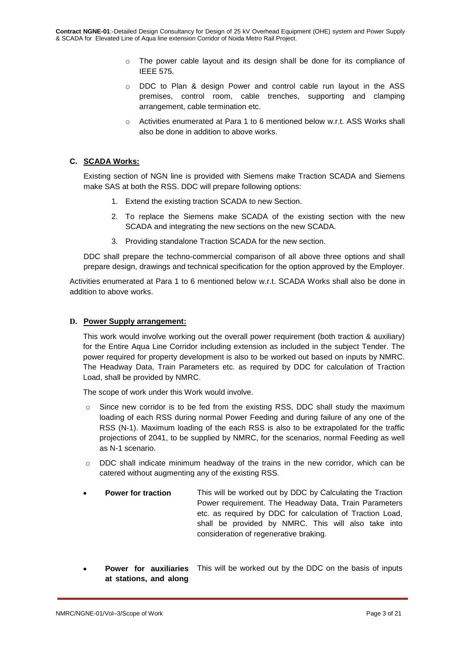- $\circ$  The power cable layout and its design shall be done for its compliance of IEEE 575.
- o DDC to Plan & design Power and control cable run layout in the ASS premises, control room, cable trenches, supporting and clamping arrangement, cable termination etc.
- o Activities enumerated at Para 1 to 6 mentioned below w.r.t. ASS Works shall also be done in addition to above works.

# **C. SCADA Works:**

Existing section of NGN line is provided with Siemens make Traction SCADA and Siemens make SAS at both the RSS. DDC will prepare following options:

- 1. Extend the existing traction SCADA to new Section.
- 2. To replace the Siemens make SCADA of the existing section with the new SCADA and integrating the new sections on the new SCADA.
- 3. Providing standalone Traction SCADA for the new section.

DDC shall prepare the techno-commercial comparison of all above three options and shall prepare design, drawings and technical specification for the option approved by the Employer.

Activities enumerated at Para 1 to 6 mentioned below w.r.t. SCADA Works shall also be done in addition to above works.

#### **D. Power Supply arrangement:**

This work would involve working out the overall power requirement (both traction & auxiliary) for the Entire Aqua Line Corridor including extension as included in the subject Tender. The power required for property development is also to be worked out based on inputs by NMRC. The Headway Data, Train Parameters etc. as required by DDC for calculation of Traction Load, shall be provided by NMRC.

The scope of work under this Work would involve.

- $\circ$  Since new corridor is to be fed from the existing RSS, DDC shall study the maximum loading of each RSS during normal Power Feeding and during failure of any one of the RSS (N-1). Maximum loading of the each RSS is also to be extrapolated for the traffic projections of 2041, to be supplied by NMRC, for the scenarios, normal Feeding as well as N-1 scenario.
- $\circ$  DDC shall indicate minimum headway of the trains in the new corridor, which can be catered without augmenting any of the existing RSS.
- **Power for traction** This will be worked out by DDC by Calculating the Traction Power requirement. The Headway Data, Train Parameters etc. as required by DDC for calculation of Traction Load, shall be provided by NMRC. This will also take into consideration of regenerative braking.
- **Power for auxiliaries**  This will be worked out by the DDC on the basis of inputs **at stations, and along**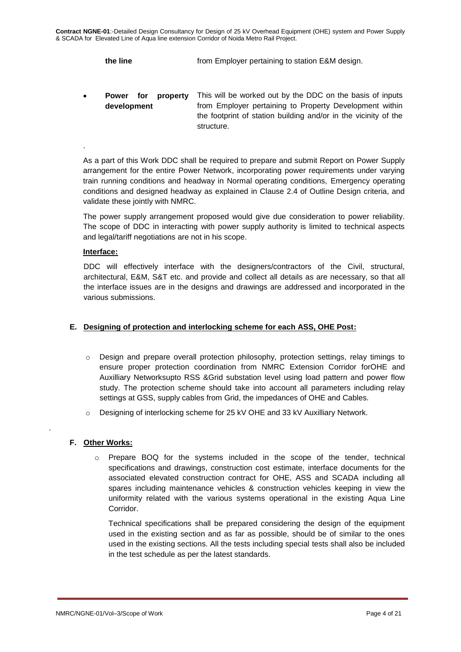**the line** from Employer pertaining to station E&M design.

 **Power for property development** This will be worked out by the DDC on the basis of inputs from Employer pertaining to Property Development within the footprint of station building and/or in the vicinity of the structure.

As a part of this Work DDC shall be required to prepare and submit Report on Power Supply arrangement for the entire Power Network, incorporating power requirements under varying train running conditions and headway in Normal operating conditions, Emergency operating conditions and designed headway as explained in Clause 2.4 of Outline Design criteria, and validate these jointly with NMRC.

The power supply arrangement proposed would give due consideration to power reliability. The scope of DDC in interacting with power supply authority is limited to technical aspects and legal/tariff negotiations are not in his scope.

#### **Interface:**

.

DDC will effectively interface with the designers/contractors of the Civil, structural, architectural, E&M, S&T etc. and provide and collect all details as are necessary, so that all the interface issues are in the designs and drawings are addressed and incorporated in the various submissions.

# **E. Designing of protection and interlocking scheme for each ASS, OHE Post:**

- $\circ$  Design and prepare overall protection philosophy, protection settings, relay timings to ensure proper protection coordination from NMRC Extension Corridor forOHE and Auxilliary Networksupto RSS &Grid substation level using load pattern and power flow study. The protection scheme should take into account all parameters including relay settings at GSS, supply cables from Grid, the impedances of OHE and Cables.
- o Designing of interlocking scheme for 25 kV OHE and 33 kV Auxilliary Network.

# **F. Other Works:**

.

Prepare BOQ for the systems included in the scope of the tender, technical specifications and drawings, construction cost estimate, interface documents for the associated elevated construction contract for OHE, ASS and SCADA including all spares including maintenance vehicles & construction vehicles keeping in view the uniformity related with the various systems operational in the existing Aqua Line Corridor.

Technical specifications shall be prepared considering the design of the equipment used in the existing section and as far as possible, should be of similar to the ones used in the existing sections. All the tests including special tests shall also be included in the test schedule as per the latest standards.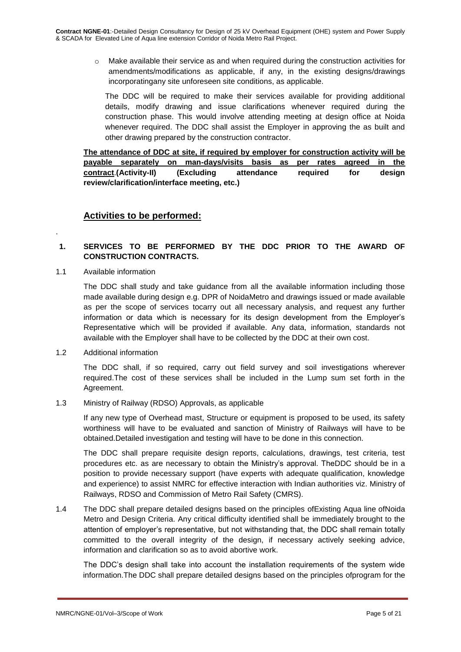$\circ$  Make available their service as and when required during the construction activities for amendments/modifications as applicable, if any, in the existing designs/drawings incorporatingany site unforeseen site conditions, as applicable.

The DDC will be required to make their services available for providing additional details, modify drawing and issue clarifications whenever required during the construction phase. This would involve attending meeting at design office at Noida whenever required. The DDC shall assist the Employer in approving the as built and other drawing prepared by the construction contractor.

**The attendance of DDC at site, if required by employer for construction activity will be payable separately on man-days/visits basis as per rates agreed in the contract**.**(Activity-II) (Excluding attendance required for design review/clarification/interface meeting, etc.)**

# **Activities to be performed:**

# **1. SERVICES TO BE PERFORMED BY THE DDC PRIOR TO THE AWARD OF CONSTRUCTION CONTRACTS.**

1.1 Available information

.

The DDC shall study and take guidance from all the available information including those made available during design e.g. DPR of NoidaMetro and drawings issued or made available as per the scope of services tocarry out all necessary analysis, and request any further information or data which is necessary for its design development from the Employer's Representative which will be provided if available. Any data, information, standards not available with the Employer shall have to be collected by the DDC at their own cost.

1.2 Additional information

The DDC shall, if so required, carry out field survey and soil investigations wherever required.The cost of these services shall be included in the Lump sum set forth in the Agreement.

1.3 Ministry of Railway (RDSO) Approvals, as applicable

If any new type of Overhead mast, Structure or equipment is proposed to be used, its safety worthiness will have to be evaluated and sanction of Ministry of Railways will have to be obtained.Detailed investigation and testing will have to be done in this connection.

The DDC shall prepare requisite design reports, calculations, drawings, test criteria, test procedures etc. as are necessary to obtain the Ministry's approval. TheDDC should be in a position to provide necessary support (have experts with adequate qualification, knowledge and experience) to assist NMRC for effective interaction with Indian authorities viz. Ministry of Railways, RDSO and Commission of Metro Rail Safety (CMRS).

1.4 The DDC shall prepare detailed designs based on the principles ofExisting Aqua line ofNoida Metro and Design Criteria. Any critical difficulty identified shall be immediately brought to the attention of employer's representative, but not withstanding that, the DDC shall remain totally committed to the overall integrity of the design, if necessary actively seeking advice, information and clarification so as to avoid abortive work.

The DDC's design shall take into account the installation requirements of the system wide information.The DDC shall prepare detailed designs based on the principles ofprogram for the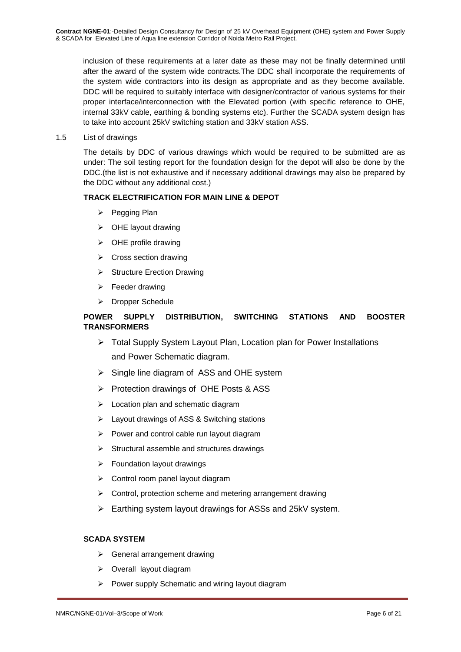inclusion of these requirements at a later date as these may not be finally determined until after the award of the system wide contracts.The DDC shall incorporate the requirements of the system wide contractors into its design as appropriate and as they become available. DDC will be required to suitably interface with designer/contractor of various systems for their proper interface/interconnection with the Elevated portion (with specific reference to OHE, internal 33kV cable, earthing & bonding systems etc). Further the SCADA system design has to take into account 25kV switching station and 33kV station ASS.

1.5 List of drawings

The details by DDC of various drawings which would be required to be submitted are as under: The soil testing report for the foundation design for the depot will also be done by the DDC.(the list is not exhaustive and if necessary additional drawings may also be prepared by the DDC without any additional cost.)

# **TRACK ELECTRIFICATION FOR MAIN LINE & DEPOT**

- $\triangleright$  Pegging Plan
- $\triangleright$  OHE layout drawing
- $\triangleright$  OHE profile drawing
- $\triangleright$  Cross section drawing
- $\triangleright$  Structure Erection Drawing
- $\triangleright$  Feeder drawing
- > Dropper Schedule

# **POWER SUPPLY DISTRIBUTION, SWITCHING STATIONS AND BOOSTER TRANSFORMERS**

- Total Supply System Layout Plan, Location plan for Power Installations and Power Schematic diagram.
- $\triangleright$  Single line diagram of ASS and OHE system
- $\triangleright$  Protection drawings of OHE Posts & ASS
- $\triangleright$  Location plan and schematic diagram
- Layout drawings of ASS & Switching stations
- $\triangleright$  Power and control cable run layout diagram
- $\triangleright$  Structural assemble and structures drawings
- $\triangleright$  Foundation layout drawings
- $\triangleright$  Control room panel layout diagram
- $\triangleright$  Control, protection scheme and metering arrangement drawing
- Earthing system layout drawings for ASSs and 25kV system.

# **SCADA SYSTEM**

- $\triangleright$  General arrangement drawing
- $\triangleright$  Overall layout diagram
- $\triangleright$  Power supply Schematic and wiring layout diagram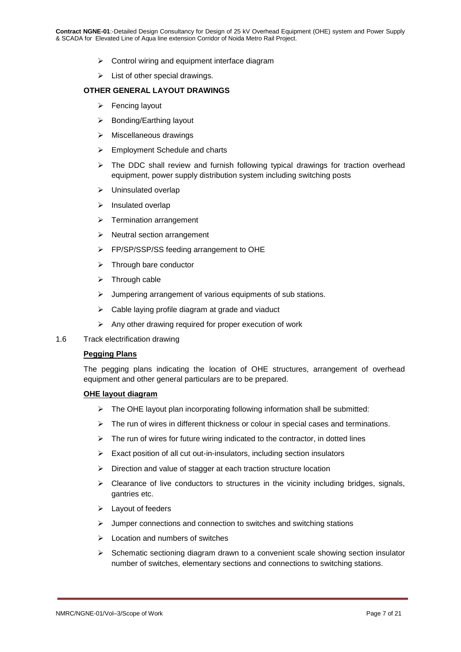- $\triangleright$  Control wiring and equipment interface diagram
- $\triangleright$  List of other special drawings.

#### **OTHER GENERAL LAYOUT DRAWINGS**

- $\triangleright$  Fencing layout
- $\triangleright$  Bonding/Earthing layout
- $\triangleright$  Miscellaneous drawings
- Employment Schedule and charts
- $\triangleright$  The DDC shall review and furnish following typical drawings for traction overhead equipment, power supply distribution system including switching posts
- Uninsulated overlap
- $\triangleright$  Insulated overlap
- $\triangleright$  Termination arrangement
- $\triangleright$  Neutral section arrangement
- FP/SP/SSP/SS feeding arrangement to OHE
- $\triangleright$  Through bare conductor
- $\triangleright$  Through cable
- $\triangleright$  Jumpering arrangement of various equipments of sub stations.
- $\triangleright$  Cable laying profile diagram at grade and viaduct
- $\triangleright$  Any other drawing required for proper execution of work
- 1.6 Track electrification drawing

#### **Pegging Plans**

The pegging plans indicating the location of OHE structures, arrangement of overhead equipment and other general particulars are to be prepared.

#### **OHE layout diagram**

- $\triangleright$  The OHE layout plan incorporating following information shall be submitted:
- $\triangleright$  The run of wires in different thickness or colour in special cases and terminations.
- $\triangleright$  The run of wires for future wiring indicated to the contractor, in dotted lines
- $\triangleright$  Exact position of all cut out-in-insulators, including section insulators
- $\triangleright$  Direction and value of stagger at each traction structure location
- $\triangleright$  Clearance of live conductors to structures in the vicinity including bridges, signals, gantries etc.
- $\blacktriangleright$  Layout of feeders
- $\triangleright$  Jumper connections and connection to switches and switching stations
- $\triangleright$  Location and numbers of switches
- $\triangleright$  Schematic sectioning diagram drawn to a convenient scale showing section insulator number of switches, elementary sections and connections to switching stations.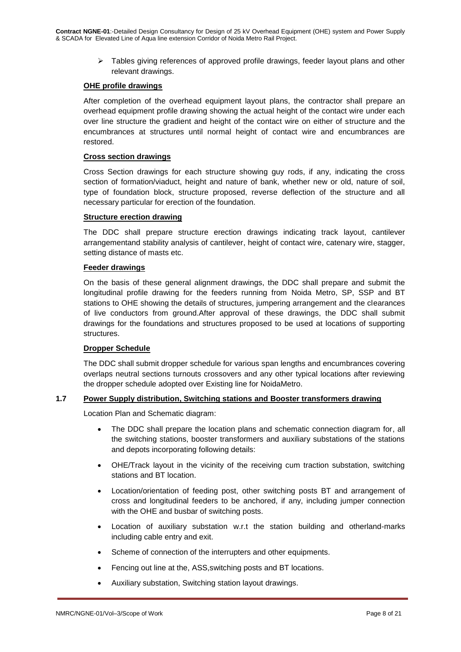$\triangleright$  Tables giving references of approved profile drawings, feeder layout plans and other relevant drawings.

#### **OHE profile drawings**

After completion of the overhead equipment layout plans, the contractor shall prepare an overhead equipment profile drawing showing the actual height of the contact wire under each over line structure the gradient and height of the contact wire on either of structure and the encumbrances at structures until normal height of contact wire and encumbrances are restored.

#### **Cross section drawings**

Cross Section drawings for each structure showing guy rods, if any, indicating the cross section of formation/viaduct, height and nature of bank, whether new or old, nature of soil, type of foundation block, structure proposed, reverse deflection of the structure and all necessary particular for erection of the foundation.

#### **Structure erection drawing**

The DDC shall prepare structure erection drawings indicating track layout, cantilever arrangementand stability analysis of cantilever, height of contact wire, catenary wire, stagger, setting distance of masts etc.

#### **Feeder drawings**

On the basis of these general alignment drawings, the DDC shall prepare and submit the longitudinal profile drawing for the feeders running from Noida Metro, SP, SSP and BT stations to OHE showing the details of structures, jumpering arrangement and the clearances of live conductors from ground.After approval of these drawings, the DDC shall submit drawings for the foundations and structures proposed to be used at locations of supporting structures.

# **Dropper Schedule**

The DDC shall submit dropper schedule for various span lengths and encumbrances covering overlaps neutral sections turnouts crossovers and any other typical locations after reviewing the dropper schedule adopted over Existing line for NoidaMetro.

# **1.7 Power Supply distribution, Switching stations and Booster transformers drawing**

Location Plan and Schematic diagram:

- The DDC shall prepare the location plans and schematic connection diagram for, all the switching stations, booster transformers and auxiliary substations of the stations and depots incorporating following details:
- OHE/Track layout in the vicinity of the receiving cum traction substation, switching stations and BT location.
- Location/orientation of feeding post, other switching posts BT and arrangement of cross and longitudinal feeders to be anchored, if any, including jumper connection with the OHE and busbar of switching posts.
- Location of auxiliary substation w.r.t the station building and otherland-marks including cable entry and exit.
- Scheme of connection of the interrupters and other equipments.
- Fencing out line at the, ASS,switching posts and BT locations.
- Auxiliary substation, Switching station layout drawings.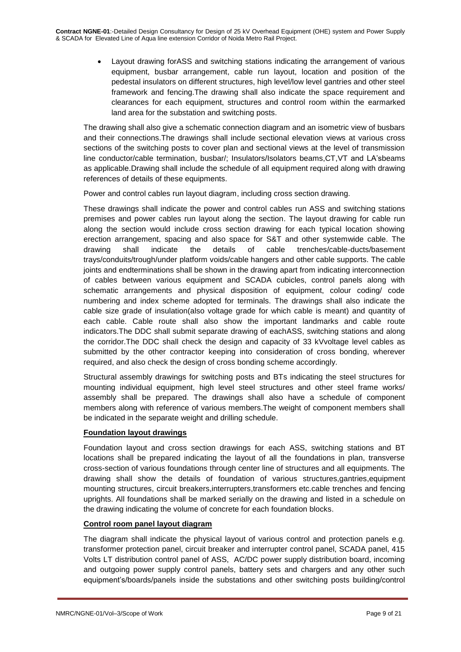Layout drawing forASS and switching stations indicating the arrangement of various equipment, busbar arrangement, cable run layout, location and position of the pedestal insulators on different structures, high level/low level gantries and other steel framework and fencing.The drawing shall also indicate the space requirement and clearances for each equipment, structures and control room within the earmarked land area for the substation and switching posts.

The drawing shall also give a schematic connection diagram and an isometric view of busbars and their connections.The drawings shall include sectional elevation views at various cross sections of the switching posts to cover plan and sectional views at the level of transmission line conductor/cable termination, busbar/; Insulators/Isolators beams,CT,VT and LA'sbeams as applicable.Drawing shall include the schedule of all equipment required along with drawing references of details of these equipments.

Power and control cables run layout diagram, including cross section drawing.

These drawings shall indicate the power and control cables run ASS and switching stations premises and power cables run layout along the section. The layout drawing for cable run along the section would include cross section drawing for each typical location showing erection arrangement, spacing and also space for S&T and other systemwide cable. The drawing shall indicate the details of cable trenches/cable-ducts/basement trays/conduits/trough/under platform voids/cable hangers and other cable supports. The cable joints and endterminations shall be shown in the drawing apart from indicating interconnection of cables between various equipment and SCADA cubicles, control panels along with schematic arrangements and physical disposition of equipment, colour coding/ code numbering and index scheme adopted for terminals. The drawings shall also indicate the cable size grade of insulation(also voltage grade for which cable is meant) and quantity of each cable. Cable route shall also show the important landmarks and cable route indicators.The DDC shall submit separate drawing of eachASS, switching stations and along the corridor.The DDC shall check the design and capacity of 33 kVvoltage level cables as submitted by the other contractor keeping into consideration of cross bonding, wherever required, and also check the design of cross bonding scheme accordingly.

Structural assembly drawings for switching posts and BTs indicating the steel structures for mounting individual equipment, high level steel structures and other steel frame works/ assembly shall be prepared. The drawings shall also have a schedule of component members along with reference of various members.The weight of component members shall be indicated in the separate weight and drilling schedule.

# **Foundation layout drawings**

Foundation layout and cross section drawings for each ASS, switching stations and BT locations shall be prepared indicating the layout of all the foundations in plan, transverse cross-section of various foundations through center line of structures and all equipments. The drawing shall show the details of foundation of various structures,gantries,equipment mounting structures, circuit breakers,interrupters,transformers etc.cable trenches and fencing uprights. All foundations shall be marked serially on the drawing and listed in a schedule on the drawing indicating the volume of concrete for each foundation blocks.

# **Control room panel layout diagram**

The diagram shall indicate the physical layout of various control and protection panels e.g. transformer protection panel, circuit breaker and interrupter control panel, SCADA panel, 415 Volts LT distribution control panel of ASS, AC/DC power supply distribution board, incoming and outgoing power supply control panels, battery sets and chargers and any other such equipment's/boards/panels inside the substations and other switching posts building/control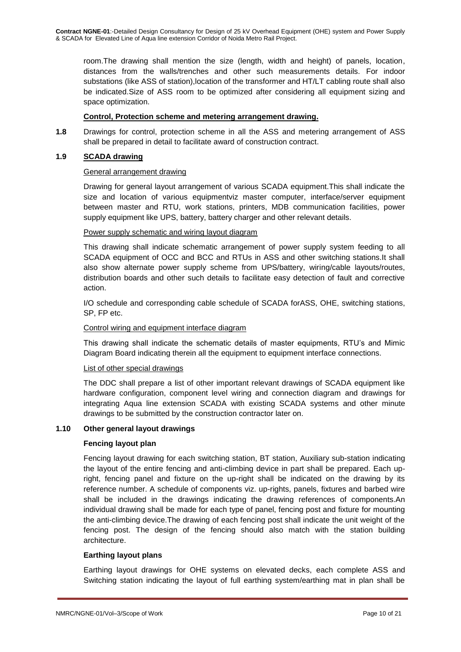room.The drawing shall mention the size (length, width and height) of panels, location, distances from the walls/trenches and other such measurements details. For indoor substations (like ASS of station),location of the transformer and HT/LT cabling route shall also be indicated.Size of ASS room to be optimized after considering all equipment sizing and space optimization.

# **Control, Protection scheme and metering arrangement drawing.**

**1.8** Drawings for control, protection scheme in all the ASS and metering arrangement of ASS shall be prepared in detail to facilitate award of construction contract.

# **1.9 SCADA drawing**

# General arrangement drawing

Drawing for general layout arrangement of various SCADA equipment.This shall indicate the size and location of various equipmentviz master computer, interface/server equipment between master and RTU, work stations, printers, MDB communication facilities, power supply equipment like UPS, battery, battery charger and other relevant details.

# Power supply schematic and wiring layout diagram

This drawing shall indicate schematic arrangement of power supply system feeding to all SCADA equipment of OCC and BCC and RTUs in ASS and other switching stations.It shall also show alternate power supply scheme from UPS/battery, wiring/cable layouts/routes, distribution boards and other such details to facilitate easy detection of fault and corrective action.

I/O schedule and corresponding cable schedule of SCADA forASS, OHE, switching stations, SP, FP etc.

#### Control wiring and equipment interface diagram

This drawing shall indicate the schematic details of master equipments, RTU's and Mimic Diagram Board indicating therein all the equipment to equipment interface connections.

# List of other special drawings

The DDC shall prepare a list of other important relevant drawings of SCADA equipment like hardware configuration, component level wiring and connection diagram and drawings for integrating Aqua line extension SCADA with existing SCADA systems and other minute drawings to be submitted by the construction contractor later on.

# **1.10 Other general layout drawings**

#### **Fencing layout plan**

Fencing layout drawing for each switching station, BT station, Auxiliary sub-station indicating the layout of the entire fencing and anti-climbing device in part shall be prepared. Each upright, fencing panel and fixture on the up-right shall be indicated on the drawing by its reference number. A schedule of components viz. up-rights, panels, fixtures and barbed wire shall be included in the drawings indicating the drawing references of components.An individual drawing shall be made for each type of panel, fencing post and fixture for mounting the anti-climbing device.The drawing of each fencing post shall indicate the unit weight of the fencing post. The design of the fencing should also match with the station building architecture.

#### **Earthing layout plans**

Earthing layout drawings for OHE systems on elevated decks, each complete ASS and Switching station indicating the layout of full earthing system/earthing mat in plan shall be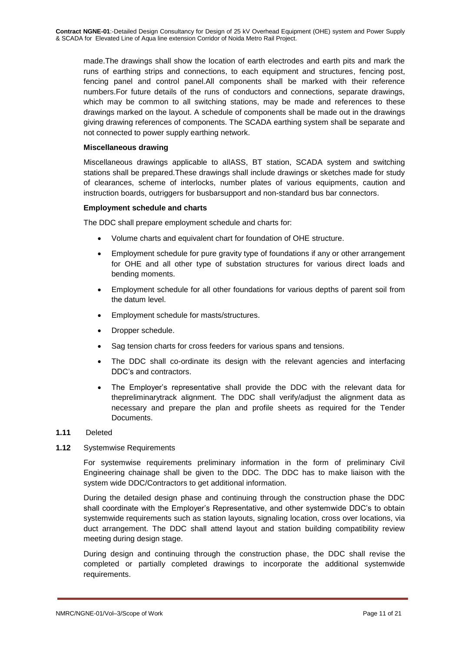made.The drawings shall show the location of earth electrodes and earth pits and mark the runs of earthing strips and connections, to each equipment and structures, fencing post, fencing panel and control panel.All components shall be marked with their reference numbers.For future details of the runs of conductors and connections, separate drawings, which may be common to all switching stations, may be made and references to these drawings marked on the layout. A schedule of components shall be made out in the drawings giving drawing references of components. The SCADA earthing system shall be separate and not connected to power supply earthing network.

#### **Miscellaneous drawing**

Miscellaneous drawings applicable to allASS, BT station, SCADA system and switching stations shall be prepared.These drawings shall include drawings or sketches made for study of clearances, scheme of interlocks, number plates of various equipments, caution and instruction boards, outriggers for busbarsupport and non-standard bus bar connectors.

#### **Employment schedule and charts**

The DDC shall prepare employment schedule and charts for:

- Volume charts and equivalent chart for foundation of OHE structure.
- Employment schedule for pure gravity type of foundations if any or other arrangement for OHE and all other type of substation structures for various direct loads and bending moments.
- Employment schedule for all other foundations for various depths of parent soil from the datum level.
- Employment schedule for masts/structures.
- Dropper schedule.
- Sag tension charts for cross feeders for various spans and tensions.
- The DDC shall co-ordinate its design with the relevant agencies and interfacing DDC's and contractors.
- The Employer's representative shall provide the DDC with the relevant data for thepreliminarytrack alignment. The DDC shall verify/adjust the alignment data as necessary and prepare the plan and profile sheets as required for the Tender Documents.

# **1.11** Deleted

# **1.12** Systemwise Requirements

For systemwise requirements preliminary information in the form of preliminary Civil Engineering chainage shall be given to the DDC. The DDC has to make liaison with the system wide DDC/Contractors to get additional information.

During the detailed design phase and continuing through the construction phase the DDC shall coordinate with the Employer's Representative, and other systemwide DDC's to obtain systemwide requirements such as station layouts, signaling location, cross over locations, via duct arrangement. The DDC shall attend layout and station building compatibility review meeting during design stage.

During design and continuing through the construction phase, the DDC shall revise the completed or partially completed drawings to incorporate the additional systemwide requirements.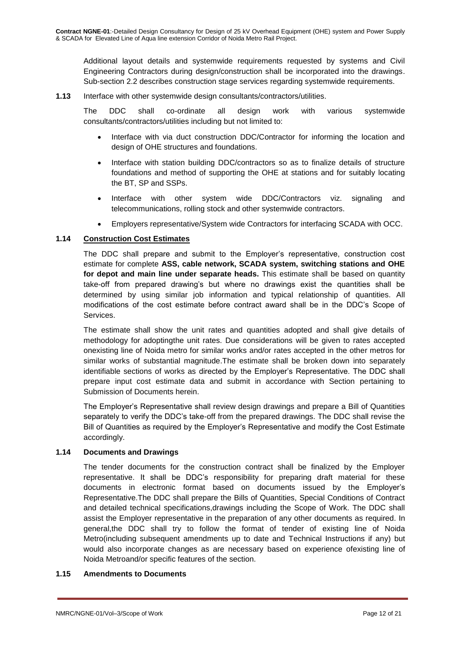Additional layout details and systemwide requirements requested by systems and Civil Engineering Contractors during design/construction shall be incorporated into the drawings. Sub-section 2.2 describes construction stage services regarding systemwide requirements.

**1.13** Interface with other systemwide design consultants/contractors/utilities.

The DDC shall co-ordinate all design work with various systemwide consultants/contractors/utilities including but not limited to:

- Interface with via duct construction DDC/Contractor for informing the location and design of OHE structures and foundations.
- Interface with station building DDC/contractors so as to finalize details of structure foundations and method of supporting the OHE at stations and for suitably locating the BT, SP and SSPs.
- Interface with other system wide DDC/Contractors viz. signaling and telecommunications, rolling stock and other systemwide contractors.
- Employers representative/System wide Contractors for interfacing SCADA with OCC.

# **1.14 Construction Cost Estimates**

The DDC shall prepare and submit to the Employer's representative, construction cost estimate for complete **ASS, cable network, SCADA system, switching stations and OHE for depot and main line under separate heads.** This estimate shall be based on quantity take-off from prepared drawing's but where no drawings exist the quantities shall be determined by using similar job information and typical relationship of quantities. All modifications of the cost estimate before contract award shall be in the DDC's Scope of Services.

The estimate shall show the unit rates and quantities adopted and shall give details of methodology for adoptingthe unit rates. Due considerations will be given to rates accepted onexisting line of Noida metro for similar works and/or rates accepted in the other metros for similar works of substantial magnitude.The estimate shall be broken down into separately identifiable sections of works as directed by the Employer's Representative. The DDC shall prepare input cost estimate data and submit in accordance with Section pertaining to Submission of Documents herein.

The Employer's Representative shall review design drawings and prepare a Bill of Quantities separately to verify the DDC's take-off from the prepared drawings. The DDC shall revise the Bill of Quantities as required by the Employer's Representative and modify the Cost Estimate accordingly.

#### **1.14 Documents and Drawings**

The tender documents for the construction contract shall be finalized by the Employer representative. It shall be DDC's responsibility for preparing draft material for these documents in electronic format based on documents issued by the Employer's Representative.The DDC shall prepare the Bills of Quantities, Special Conditions of Contract and detailed technical specifications,drawings including the Scope of Work. The DDC shall assist the Employer representative in the preparation of any other documents as required. In general,the DDC shall try to follow the format of tender of existing line of Noida Metro(including subsequent amendments up to date and Technical Instructions if any) but would also incorporate changes as are necessary based on experience ofexisting line of Noida Metroand/or specific features of the section.

# **1.15 Amendments to Documents**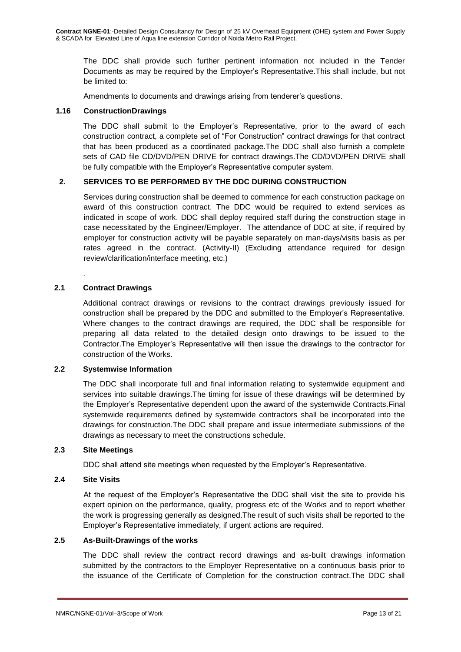The DDC shall provide such further pertinent information not included in the Tender Documents as may be required by the Employer's Representative.This shall include, but not be limited to:

Amendments to documents and drawings arising from tenderer's questions.

# **1.16 ConstructionDrawings**

The DDC shall submit to the Employer's Representative, prior to the award of each construction contract, a complete set of "For Construction" contract drawings for that contract that has been produced as a coordinated package.The DDC shall also furnish a complete sets of CAD file CD/DVD/PEN DRIVE for contract drawings.The CD/DVD/PEN DRIVE shall be fully compatible with the Employer's Representative computer system.

# **2. SERVICES TO BE PERFORMED BY THE DDC DURING CONSTRUCTION**

Services during construction shall be deemed to commence for each construction package on award of this construction contract. The DDC would be required to extend services as indicated in scope of work. DDC shall deploy required staff during the construction stage in case necessitated by the Engineer/Employer. The attendance of DDC at site, if required by employer for construction activity will be payable separately on man-days/visits basis as per rates agreed in the contract. (Activity-II) (Excluding attendance required for design review/clarification/interface meeting, etc.)

# **2.1 Contract Drawings**

.

Additional contract drawings or revisions to the contract drawings previously issued for construction shall be prepared by the DDC and submitted to the Employer's Representative. Where changes to the contract drawings are required, the DDC shall be responsible for preparing all data related to the detailed design onto drawings to be issued to the Contractor.The Employer's Representative will then issue the drawings to the contractor for construction of the Works.

# **2.2 Systemwise Information**

The DDC shall incorporate full and final information relating to systemwide equipment and services into suitable drawings.The timing for issue of these drawings will be determined by the Employer's Representative dependent upon the award of the systemwide Contracts.Final systemwide requirements defined by systemwide contractors shall be incorporated into the drawings for construction.The DDC shall prepare and issue intermediate submissions of the drawings as necessary to meet the constructions schedule.

# **2.3 Site Meetings**

DDC shall attend site meetings when requested by the Employer's Representative.

# **2.4 Site Visits**

At the request of the Employer's Representative the DDC shall visit the site to provide his expert opinion on the performance, quality, progress etc of the Works and to report whether the work is progressing generally as designed.The result of such visits shall be reported to the Employer's Representative immediately, if urgent actions are required.

# **2.5 As-Built-Drawings of the works**

The DDC shall review the contract record drawings and as-built drawings information submitted by the contractors to the Employer Representative on a continuous basis prior to the issuance of the Certificate of Completion for the construction contract.The DDC shall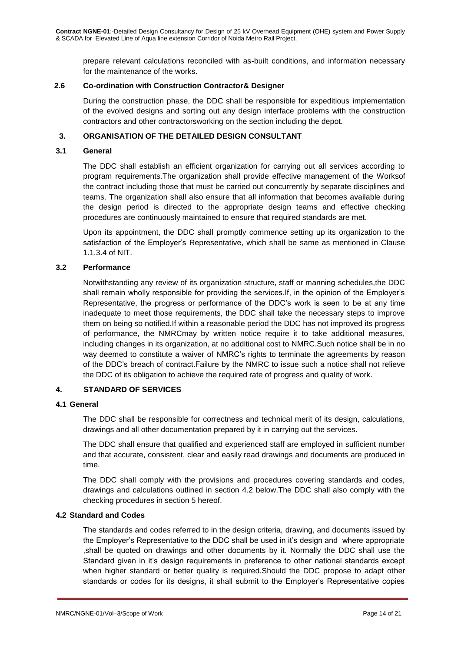prepare relevant calculations reconciled with as-built conditions, and information necessary for the maintenance of the works.

# **2.6 Co-ordination with Construction Contractor& Designer**

During the construction phase, the DDC shall be responsible for expeditious implementation of the evolved designs and sorting out any design interface problems with the construction contractors and other contractorsworking on the section including the depot.

# **3. ORGANISATION OF THE DETAILED DESIGN CONSULTANT**

#### **3.1 General**

The DDC shall establish an efficient organization for carrying out all services according to program requirements.The organization shall provide effective management of the Worksof the contract including those that must be carried out concurrently by separate disciplines and teams. The organization shall also ensure that all information that becomes available during the design period is directed to the appropriate design teams and effective checking procedures are continuously maintained to ensure that required standards are met.

Upon its appointment, the DDC shall promptly commence setting up its organization to the satisfaction of the Employer's Representative, which shall be same as mentioned in Clause 1.1.3.4 of NIT.

#### **3.2 Performance**

Notwithstanding any review of its organization structure, staff or manning schedules,the DDC shall remain wholly responsible for providing the services.If, in the opinion of the Employer's Representative, the progress or performance of the DDC's work is seen to be at any time inadequate to meet those requirements, the DDC shall take the necessary steps to improve them on being so notified.If within a reasonable period the DDC has not improved its progress of performance, the NMRCmay by written notice require it to take additional measures, including changes in its organization, at no additional cost to NMRC.Such notice shall be in no way deemed to constitute a waiver of NMRC's rights to terminate the agreements by reason of the DDC's breach of contract.Failure by the NMRC to issue such a notice shall not relieve the DDC of its obligation to achieve the required rate of progress and quality of work.

# **4. STANDARD OF SERVICES**

#### **4.1 General**

The DDC shall be responsible for correctness and technical merit of its design, calculations, drawings and all other documentation prepared by it in carrying out the services.

The DDC shall ensure that qualified and experienced staff are employed in sufficient number and that accurate, consistent, clear and easily read drawings and documents are produced in time.

The DDC shall comply with the provisions and procedures covering standards and codes, drawings and calculations outlined in section 4.2 below.The DDC shall also comply with the checking procedures in section 5 hereof.

#### **4.2 Standard and Codes**

The standards and codes referred to in the design criteria, drawing, and documents issued by the Employer's Representative to the DDC shall be used in it's design and where appropriate ,shall be quoted on drawings and other documents by it. Normally the DDC shall use the Standard given in it's design requirements in preference to other national standards except when higher standard or better quality is required.Should the DDC propose to adapt other standards or codes for its designs, it shall submit to the Employer's Representative copies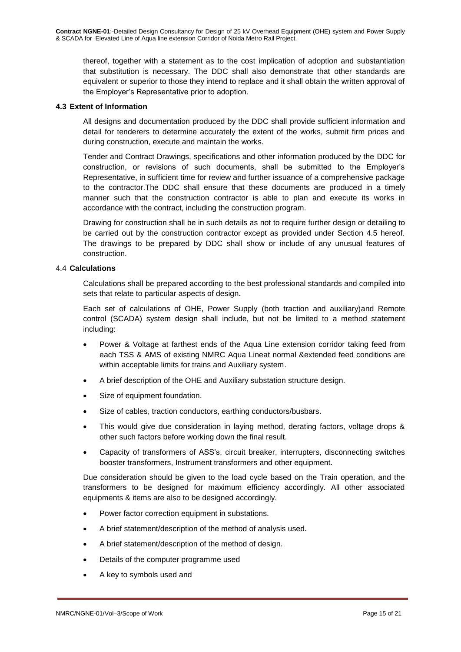thereof, together with a statement as to the cost implication of adoption and substantiation that substitution is necessary. The DDC shall also demonstrate that other standards are equivalent or superior to those they intend to replace and it shall obtain the written approval of the Employer's Representative prior to adoption.

# **4.3 Extent of Information**

All designs and documentation produced by the DDC shall provide sufficient information and detail for tenderers to determine accurately the extent of the works, submit firm prices and during construction, execute and maintain the works.

Tender and Contract Drawings, specifications and other information produced by the DDC for construction, or revisions of such documents, shall be submitted to the Employer's Representative, in sufficient time for review and further issuance of a comprehensive package to the contractor.The DDC shall ensure that these documents are produced in a timely manner such that the construction contractor is able to plan and execute its works in accordance with the contract, including the construction program.

Drawing for construction shall be in such details as not to require further design or detailing to be carried out by the construction contractor except as provided under Section 4.5 hereof. The drawings to be prepared by DDC shall show or include of any unusual features of construction.

# 4.4 **Calculations**

Calculations shall be prepared according to the best professional standards and compiled into sets that relate to particular aspects of design.

Each set of calculations of OHE, Power Supply (both traction and auxiliary)and Remote control (SCADA) system design shall include, but not be limited to a method statement including:

- Power & Voltage at farthest ends of the Aqua Line extension corridor taking feed from each TSS & AMS of existing NMRC Aqua Lineat normal &extended feed conditions are within acceptable limits for trains and Auxiliary system.
- A brief description of the OHE and Auxiliary substation structure design.
- Size of equipment foundation.
- Size of cables, traction conductors, earthing conductors/busbars.
- This would give due consideration in laying method, derating factors, voltage drops & other such factors before working down the final result.
- Capacity of transformers of ASS's, circuit breaker, interrupters, disconnecting switches booster transformers, Instrument transformers and other equipment.

Due consideration should be given to the load cycle based on the Train operation, and the transformers to be designed for maximum efficiency accordingly. All other associated equipments & items are also to be designed accordingly.

- Power factor correction equipment in substations.
- A brief statement/description of the method of analysis used.
- A brief statement/description of the method of design.
- Details of the computer programme used
- A key to symbols used and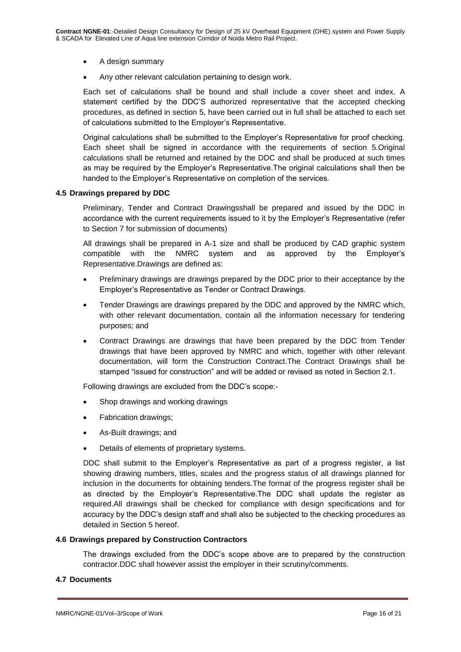- A design summary
- Any other relevant calculation pertaining to design work.

Each set of calculations shall be bound and shall include a cover sheet and index. A statement certified by the DDC'S authorized representative that the accepted checking procedures, as defined in section 5, have been carried out in full shall be attached to each set of calculations submitted to the Employer's Representative.

Original calculations shall be submitted to the Employer's Representative for proof checking. Each sheet shall be signed in accordance with the requirements of section 5.Original calculations shall be returned and retained by the DDC and shall be produced at such times as may be required by the Employer's Representative.The original calculations shall then be handed to the Employer's Representative on completion of the services.

#### **4.5 Drawings prepared by DDC**

Preliminary, Tender and Contract Drawingsshall be prepared and issued by the DDC in accordance with the current requirements issued to it by the Employer's Representative (refer to Section 7 for submission of documents)

All drawings shall be prepared in A-1 size and shall be produced by CAD graphic system compatible with the NMRC system and as approved by the Employer's Representative.Drawings are defined as:

- Preliminary drawings are drawings prepared by the DDC prior to their acceptance by the Employer's Representative as Tender or Contract Drawings.
- Tender Drawings are drawings prepared by the DDC and approved by the NMRC which, with other relevant documentation, contain all the information necessary for tendering purposes; and
- Contract Drawings are drawings that have been prepared by the DDC from Tender drawings that have been approved by NMRC and which, together with other relevant documentation, will form the Construction Contract.The Contract Drawings shall be stamped "issued for construction" and will be added or revised as noted in Section 2.1.

Following drawings are excluded from the DDC's scope:-

- Shop drawings and working drawings
- Fabrication drawings;
- As-Built drawings; and
- Details of elements of proprietary systems.

DDC shall submit to the Employer's Representative as part of a progress register, a list showing drawing numbers, titles, scales and the progress status of all drawings planned for inclusion in the documents for obtaining tenders.The format of the progress register shall be as directed by the Employer's Representative.The DDC shall update the register as required.All drawings shall be checked for compliance with design specifications and for accuracy by the DDC's design staff and shall also be subjected to the checking procedures as detailed in Section 5 hereof.

#### **4.6 Drawings prepared by Construction Contractors**

The drawings excluded from the DDC's scope above are to prepared by the construction contractor.DDC shall however assist the employer in their scrutiny/comments.

#### **4.7 Documents**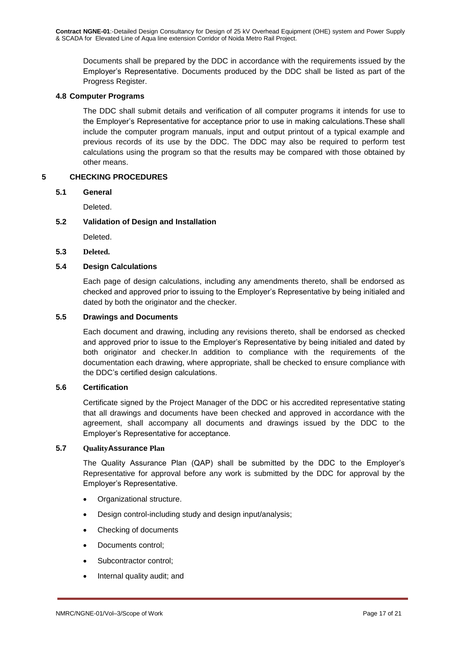Documents shall be prepared by the DDC in accordance with the requirements issued by the Employer's Representative. Documents produced by the DDC shall be listed as part of the Progress Register.

#### **4.8 Computer Programs**

The DDC shall submit details and verification of all computer programs it intends for use to the Employer's Representative for acceptance prior to use in making calculations.These shall include the computer program manuals, input and output printout of a typical example and previous records of its use by the DDC. The DDC may also be required to perform test calculations using the program so that the results may be compared with those obtained by other means.

# **5 CHECKING PROCEDURES**

# **5.1 General**

Deleted.

#### **5.2 Validation of Design and Installation**

Deleted.

**5.3 Deleted.**

# **5.4 Design Calculations**

Each page of design calculations, including any amendments thereto, shall be endorsed as checked and approved prior to issuing to the Employer's Representative by being initialed and dated by both the originator and the checker.

#### **5.5 Drawings and Documents**

Each document and drawing, including any revisions thereto, shall be endorsed as checked and approved prior to issue to the Employer's Representative by being initialed and dated by both originator and checker.In addition to compliance with the requirements of the documentation each drawing, where appropriate, shall be checked to ensure compliance with the DDC's certified design calculations.

#### **5.6 Certification**

Certificate signed by the Project Manager of the DDC or his accredited representative stating that all drawings and documents have been checked and approved in accordance with the agreement, shall accompany all documents and drawings issued by the DDC to the Employer's Representative for acceptance.

#### **5.7 QualityAssurance Plan**

The Quality Assurance Plan (QAP) shall be submitted by the DDC to the Employer's Representative for approval before any work is submitted by the DDC for approval by the Employer's Representative.

- Organizational structure.
- Design control-including study and design input/analysis;
- Checking of documents
- Documents control;
- Subcontractor control:
- Internal quality audit; and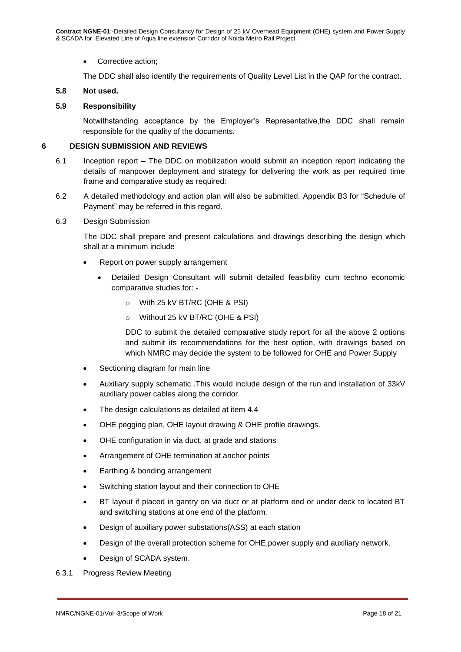• Corrective action;

The DDC shall also identify the requirements of Quality Level List in the QAP for the contract.

#### **5.8 Not used.**

#### **5.9 Responsibility**

Notwithstanding acceptance by the Employer's Representative,the DDC shall remain responsible for the quality of the documents.

#### **6 DESIGN SUBMISSION AND REVIEWS**

- 6.1 Inception report The DDC on mobilization would submit an inception report indicating the details of manpower deployment and strategy for delivering the work as per required time frame and comparative study as required:
- 6.2 A detailed methodology and action plan will also be submitted. Appendix B3 for "Schedule of Payment" may be referred in this regard.
- 6.3 Design Submission

The DDC shall prepare and present calculations and drawings describing the design which shall at a minimum include

- Report on power supply arrangement
	- Detailed Design Consultant will submit detailed feasibility cum techno economic comparative studies for:
		- o With 25 kV BT/RC (OHE & PSI)
		- o Without 25 kV BT/RC (OHE & PSI)

DDC to submit the detailed comparative study report for all the above 2 options and submit its recommendations for the best option, with drawings based on which NMRC may decide the system to be followed for OHE and Power Supply

- Sectioning diagram for main line
- Auxiliary supply schematic .This would include design of the run and installation of 33kV auxiliary power cables along the corridor.
- The design calculations as detailed at item 4.4
- OHE pegging plan, OHE layout drawing & OHE profile drawings.
- OHE configuration in via duct, at grade and stations
- Arrangement of OHE termination at anchor points
- Earthing & bonding arrangement
- Switching station layout and their connection to OHE
- BT layout if placed in gantry on via duct or at platform end or under deck to located BT and switching stations at one end of the platform.
- Design of auxiliary power substations(ASS) at each station
- Design of the overall protection scheme for OHE,power supply and auxiliary network.
- Design of SCADA system.
- 6.3.1 Progress Review Meeting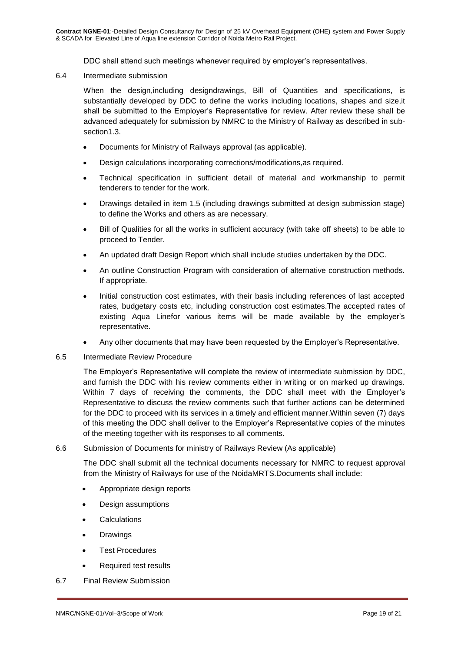DDC shall attend such meetings whenever required by employer's representatives.

6.4 Intermediate submission

When the design,including designdrawings, Bill of Quantities and specifications, is substantially developed by DDC to define the works including locations, shapes and size,it shall be submitted to the Employer's Representative for review. After review these shall be advanced adequately for submission by NMRC to the Ministry of Railway as described in subsection1.3.

- Documents for Ministry of Railways approval (as applicable).
- Design calculations incorporating corrections/modifications,as required.
- Technical specification in sufficient detail of material and workmanship to permit tenderers to tender for the work.
- Drawings detailed in item 1.5 (including drawings submitted at design submission stage) to define the Works and others as are necessary.
- Bill of Qualities for all the works in sufficient accuracy (with take off sheets) to be able to proceed to Tender.
- An updated draft Design Report which shall include studies undertaken by the DDC.
- An outline Construction Program with consideration of alternative construction methods. If appropriate.
- Initial construction cost estimates, with their basis including references of last accepted rates, budgetary costs etc, including construction cost estimates.The accepted rates of existing Aqua Linefor various items will be made available by the employer's representative.
- Any other documents that may have been requested by the Employer's Representative.
- 6.5 Intermediate Review Procedure

The Employer's Representative will complete the review of intermediate submission by DDC, and furnish the DDC with his review comments either in writing or on marked up drawings. Within 7 days of receiving the comments, the DDC shall meet with the Employer's Representative to discuss the review comments such that further actions can be determined for the DDC to proceed with its services in a timely and efficient manner.Within seven (7) days of this meeting the DDC shall deliver to the Employer's Representative copies of the minutes of the meeting together with its responses to all comments.

6.6 Submission of Documents for ministry of Railways Review (As applicable)

The DDC shall submit all the technical documents necessary for NMRC to request approval from the Ministry of Railways for use of the NoidaMRTS.Documents shall include:

- Appropriate design reports
- Design assumptions
- **Calculations**
- Drawings
- Test Procedures
- Required test results
- 6.7 Final Review Submission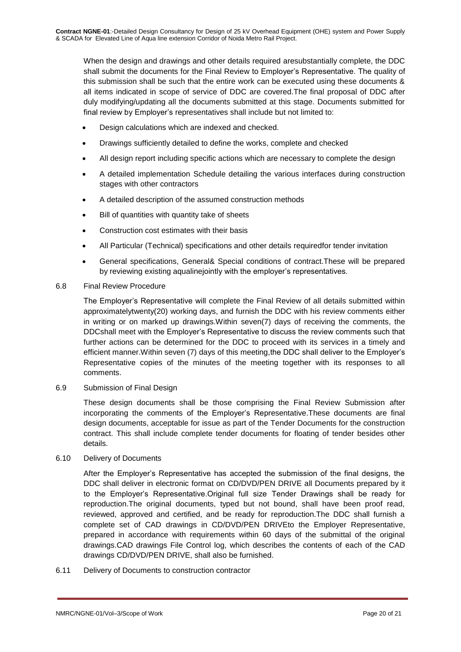When the design and drawings and other details required aresubstantially complete, the DDC shall submit the documents for the Final Review to Employer's Representative. The quality of this submission shall be such that the entire work can be executed using these documents & all items indicated in scope of service of DDC are covered.The final proposal of DDC after duly modifying/updating all the documents submitted at this stage. Documents submitted for final review by Employer's representatives shall include but not limited to:

- Design calculations which are indexed and checked.
- Drawings sufficiently detailed to define the works, complete and checked
- All design report including specific actions which are necessary to complete the design
- A detailed implementation Schedule detailing the various interfaces during construction stages with other contractors
- A detailed description of the assumed construction methods
- Bill of quantities with quantity take of sheets
- Construction cost estimates with their basis
- All Particular (Technical) specifications and other details requiredfor tender invitation
- General specifications, General& Special conditions of contract.These will be prepared by reviewing existing aqualinejointly with the employer's representatives.

#### 6.8 Final Review Procedure

The Employer's Representative will complete the Final Review of all details submitted within approximatelytwenty(20) working days, and furnish the DDC with his review comments either in writing or on marked up drawings.Within seven(7) days of receiving the comments, the DDCshall meet with the Employer's Representative to discuss the review comments such that further actions can be determined for the DDC to proceed with its services in a timely and efficient manner.Within seven (7) days of this meeting,the DDC shall deliver to the Employer's Representative copies of the minutes of the meeting together with its responses to all comments.

6.9 Submission of Final Design

These design documents shall be those comprising the Final Review Submission after incorporating the comments of the Employer's Representative.These documents are final design documents, acceptable for issue as part of the Tender Documents for the construction contract. This shall include complete tender documents for floating of tender besides other details.

# 6.10 Delivery of Documents

After the Employer's Representative has accepted the submission of the final designs, the DDC shall deliver in electronic format on CD/DVD/PEN DRIVE all Documents prepared by it to the Employer's Representative.Original full size Tender Drawings shall be ready for reproduction.The original documents, typed but not bound, shall have been proof read, reviewed, approved and certified, and be ready for reproduction.The DDC shall furnish a complete set of CAD drawings in CD/DVD/PEN DRIVEto the Employer Representative, prepared in accordance with requirements within 60 days of the submittal of the original drawings.CAD drawings File Control log, which describes the contents of each of the CAD drawings CD/DVD/PEN DRIVE, shall also be furnished.

6.11 Delivery of Documents to construction contractor